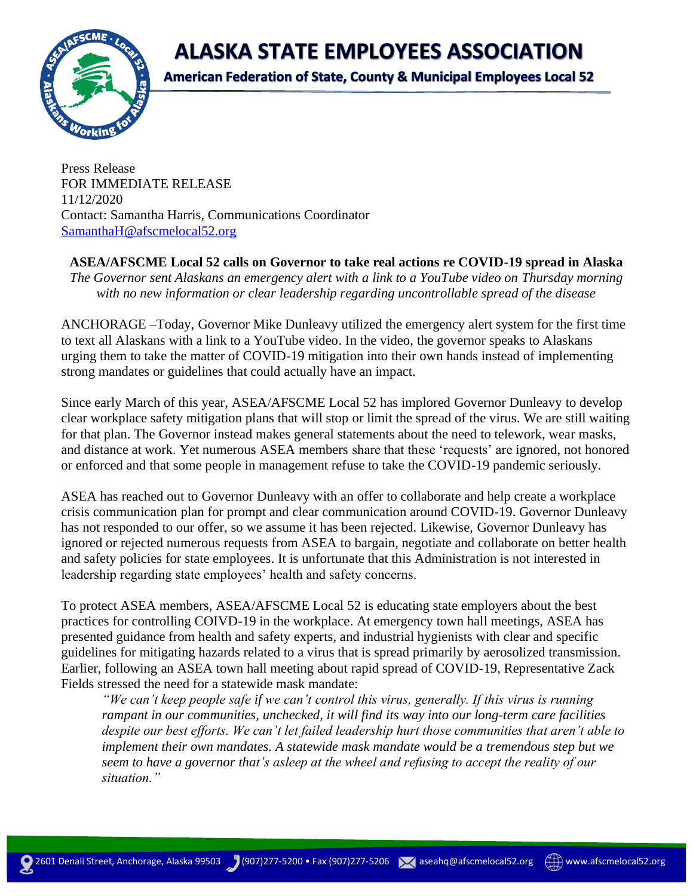**ALASKA STATE EMPLOYEES ASSOCIATION** 



**American Federation of State, County & Municipal Employees Local 52** 

Press Release FOR IMMEDIATE RELEASE 11/12/2020 Contact: Samantha Harris, Communications Coordinator [SamanthaH@afscmelocal52.org](mailto:SamanthaH@afscmelocal52.org)

## **ASEA/AFSCME Local 52 calls on Governor to take real actions re COVID-19 spread in Alaska**

*The Governor sent Alaskans an emergency alert with a link to a YouTube video on Thursday morning with no new information or clear leadership regarding uncontrollable spread of the disease*

ANCHORAGE –Today, Governor Mike Dunleavy utilized the emergency alert system for the first time to text all Alaskans with a link to a YouTube video. In the video, the governor speaks to Alaskans urging them to take the matter of COVID-19 mitigation into their own hands instead of implementing strong mandates or guidelines that could actually have an impact.

Since early March of this year, ASEA/AFSCME Local 52 has implored Governor Dunleavy to develop clear workplace safety mitigation plans that will stop or limit the spread of the virus. We are still waiting for that plan. The Governor instead makes general statements about the need to telework, wear masks, and distance at work. Yet numerous ASEA members share that these 'requests' are ignored, not honored or enforced and that some people in management refuse to take the COVID-19 pandemic seriously.

ASEA has reached out to Governor Dunleavy with an offer to collaborate and help create a workplace crisis communication plan for prompt and clear communication around COVID-19. Governor Dunleavy has not responded to our offer, so we assume it has been rejected. Likewise, Governor Dunleavy has ignored or rejected numerous requests from ASEA to bargain, negotiate and collaborate on better health and safety policies for state employees. It is unfortunate that this Administration is not interested in leadership regarding state employees' health and safety concerns.

To protect ASEA members, ASEA/AFSCME Local 52 is educating state employers about the best practices for controlling COIVD-19 in the workplace. At emergency town hall meetings, ASEA has presented guidance from health and safety experts, and industrial hygienists with clear and specific guidelines for mitigating hazards related to a virus that is spread primarily by aerosolized transmission. Earlier, following an ASEA town hall meeting about rapid spread of COVID-19, Representative Zack Fields stressed the need for a statewide mask mandate:

*"We can't keep people safe if we can't control this virus, generally. If this virus is running rampant in our communities, unchecked, it will find its way into our long-term care facilities despite our best efforts. We can't let failed leadership hurt those communities that aren't able to implement their own mandates. A statewide mask mandate would be a tremendous step but we seem to have a governor that's asleep at the wheel and refusing to accept the reality of our situation."*